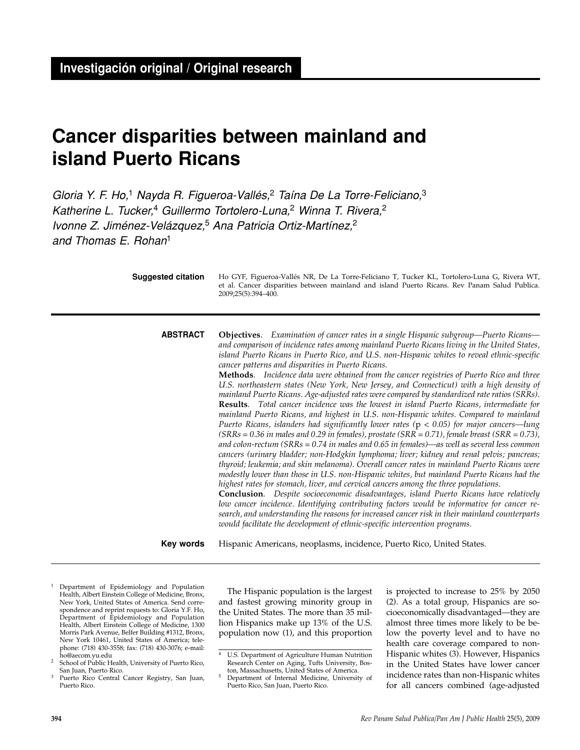# **Cancer disparities between mainland and island Puerto Ricans**

Gloria Y. F. Ho,<sup>1</sup> Nayda R. Figueroa-Vallés,<sup>2</sup> Taína De La Torre-Feliciano,<sup>3</sup> Katherine L. Tucker,<sup>4</sup> Guillermo Tortolero-Luna,<sup>2</sup> Winna T. Rivera,<sup>2</sup> Ivonne Z. Jiménez-Velázquez,<sup>5</sup> Ana Patricia Ortiz-Martínez,<sup>2</sup> and Thomas E. Rohan<sup>1</sup>

| <b>Suggested citation</b> | Ho GYF, Figueroa-Vallés NR, De La Torre-Feliciano T, Tucker KL, Tortolero-Luna G, Rivera WT,<br>et al. Cancer disparities between mainland and island Puerto Ricans. Rev Panam Salud Publica.<br>2009;25(5):394-400.                                                                                                                                                                                                                                                                                                                                                                                                                                                                                                                                                                                                                                                                                                                                                                                                                                                                                                                                                                                                                                                                                                                                                                                                                                                                                                                                                                                                                                                                                                                                                                                                                                                                                |
|---------------------------|-----------------------------------------------------------------------------------------------------------------------------------------------------------------------------------------------------------------------------------------------------------------------------------------------------------------------------------------------------------------------------------------------------------------------------------------------------------------------------------------------------------------------------------------------------------------------------------------------------------------------------------------------------------------------------------------------------------------------------------------------------------------------------------------------------------------------------------------------------------------------------------------------------------------------------------------------------------------------------------------------------------------------------------------------------------------------------------------------------------------------------------------------------------------------------------------------------------------------------------------------------------------------------------------------------------------------------------------------------------------------------------------------------------------------------------------------------------------------------------------------------------------------------------------------------------------------------------------------------------------------------------------------------------------------------------------------------------------------------------------------------------------------------------------------------------------------------------------------------------------------------------------------------|
| <b>ABSTRACT</b>           | <b>Objectives.</b> Examination of cancer rates in a single Hispanic subgroup—Puerto Ricans—<br>and comparison of incidence rates among mainland Puerto Ricans living in the United States,<br>island Puerto Ricans in Puerto Rico, and U.S. non-Hispanic whites to reveal ethnic-specific<br>cancer patterns and disparities in Puerto Ricans.<br>Methods. Incidence data were obtained from the cancer registries of Puerto Rico and three<br>U.S. northeastern states (New York, New Jersey, and Connecticut) with a high density of<br>mainland Puerto Ricans. Age-adjusted rates were compared by standardized rate ratios (SRRs).<br>Results. Total cancer incidence was the lowest in island Puerto Ricans, intermediate for<br>mainland Puerto Ricans, and highest in U.S. non-Hispanic whites. Compared to mainland<br>Puerto Ricans, islanders had significantly lower rates ( $p < 0.05$ ) for major cancers—lung<br>$(SRRs = 0.36$ in males and 0.29 in females), prostate $(SRR = 0.71)$ , female breast $(SRR = 0.73)$ ,<br>and colon-rectum ( $SRRs = 0.74$ in males and 0.65 in females)—as well as several less common<br>cancers (urinary bladder; non-Hodgkin lymphoma; liver; kidney and renal pelvis; pancreas;<br>thyroid; leukemia; and skin melanoma). Overall cancer rates in mainland Puerto Ricans were<br>modestly lower than those in U.S. non-Hispanic whites, but mainland Puerto Ricans had the<br>highest rates for stomach, liver, and cervical cancers among the three populations.<br><b>Conclusion.</b> Despite socioeconomic disadvantages, island Puerto Ricans have relatively<br>low cancer incidence. Identifying contributing factors would be informative for cancer re-<br>search, and understanding the reasons for increased cancer risk in their mainland counterparts<br>would facilitate the development of ethnic-specific intervention programs. |

Hispanic Americans, neoplasms, incidence, Puerto Rico, United States. **Key words**

<sup>1</sup> Department of Epidemiology and Population Health, Albert Einstein College of Medicine, Bronx, New York, United States of America. Send correspondence and reprint requests to: Gloria Y.F. Ho, Department of Epidemiology and Population Health, Albert Einstein College of Medicine, 1300 Morris Park Avenue, Belfer Building #1312, Bronx, New York 10461, United States of America; telephone: (718) 430-3558; fax: (718) 430-3076; e-mail: ho@aecom.yu.edu

The Hispanic population is the largest and fastest growing minority group in the United States. The more than 35 million Hispanics make up 13% of the U.S. population now (1), and this proportion is projected to increase to 25% by 2050 (2). As a total group, Hispanics are socioeconomically disadvantaged—they are almost three times more likely to be below the poverty level and to have no health care coverage compared to non-Hispanic whites (3). However, Hispanics in the United States have lower cancer incidence rates than non-Hispanic whites for all cancers combined (age-adjusted

<sup>&</sup>lt;sup>2</sup> School of Public Health, University of Puerto Rico, San Juan, Puerto Rico.

<sup>&</sup>lt;sup>3</sup> Puerto Rico Central Cancer Registry, San Juan, Puerto Rico.

<sup>4</sup> U.S. Department of Agriculture Human Nutrition Research Center on Aging, Tufts University, Boston, Massachusetts, United States of America.

<sup>5</sup> Department of Internal Medicine, University of Puerto Rico, San Juan, Puerto Rico.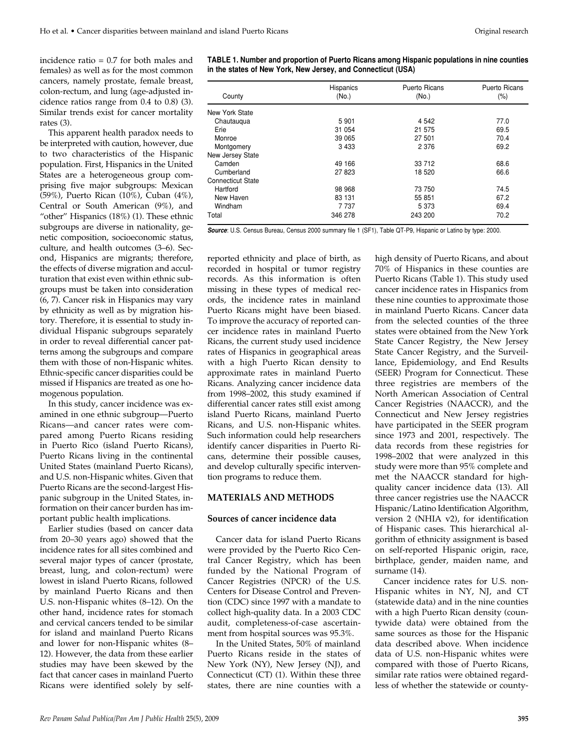incidence ratio = 0.7 for both males and females) as well as for the most common cancers, namely prostate, female breast, colon-rectum, and lung (age-adjusted incidence ratios range from 0.4 to 0.8) (3). Similar trends exist for cancer mortality rates (3).

This apparent health paradox needs to be interpreted with caution, however, due to two characteristics of the Hispanic population. First, Hispanics in the United States are a heterogeneous group comprising five major subgroups: Mexican (59%), Puerto Rican (10%), Cuban (4%), Central or South American (9%), and "other" Hispanics (18%) (1). These ethnic subgroups are diverse in nationality, genetic composition, socioeconomic status, culture, and health outcomes (3–6). Second, Hispanics are migrants; therefore, the effects of diverse migration and acculturation that exist even within ethnic subgroups must be taken into consideration (6, 7). Cancer risk in Hispanics may vary by ethnicity as well as by migration history. Therefore, it is essential to study individual Hispanic subgroups separately in order to reveal differential cancer patterns among the subgroups and compare them with those of non-Hispanic whites. Ethnic-specific cancer disparities could be missed if Hispanics are treated as one homogenous population.

In this study, cancer incidence was examined in one ethnic subgroup—Puerto Ricans—and cancer rates were compared among Puerto Ricans residing in Puerto Rico (island Puerto Ricans), Puerto Ricans living in the continental United States (mainland Puerto Ricans), and U.S. non-Hispanic whites. Given that Puerto Ricans are the second-largest Hispanic subgroup in the United States, information on their cancer burden has important public health implications.

Earlier studies (based on cancer data from 20–30 years ago) showed that the incidence rates for all sites combined and several major types of cancer (prostate, breast, lung, and colon-rectum) were lowest in island Puerto Ricans, followed by mainland Puerto Ricans and then U.S. non-Hispanic whites (8–12). On the other hand, incidence rates for stomach and cervical cancers tended to be similar for island and mainland Puerto Ricans and lower for non-Hispanic whites (8– 12). However, the data from these earlier studies may have been skewed by the fact that cancer cases in mainland Puerto Ricans were identified solely by self**TABLE 1. Number and proportion of Puerto Ricans among Hispanic populations in nine counties in the states of New York, New Jersey, and Connecticut (USA)**

| County            | Hispanics<br>(No.) | <b>Puerto Ricans</b><br>(No.) | <b>Puerto Ricans</b><br>$(\%)$ |
|-------------------|--------------------|-------------------------------|--------------------------------|
| New York State    |                    |                               |                                |
| Chautauqua        | 5 9 0 1            | 4 5 4 2                       | 77.0                           |
| Erie              | 31 054             | 21 575                        | 69.5                           |
| Monroe            | 39 065             | 27 501                        | 70.4                           |
| Montgomery        | 3 4 3 3            | 2 3 7 6                       | 69.2                           |
| New Jersey State  |                    |                               |                                |
| Camden            | 49 166             | 33 712                        | 68.6                           |
| Cumberland        | 27823              | 18 5 20                       | 66.6                           |
| Connecticut State |                    |                               |                                |
| Hartford          | 98 968             | 73 750                        | 74.5                           |
| New Haven         | 83 131             | 55 851                        | 67.2                           |
| Windham           | 7 7 3 7            | 5 3 7 3                       | 69.4                           |
| Total             | 346 278            | 243 200                       | 70.2                           |

**Source**: U.S. Census Bureau, Census 2000 summary file 1 (SF1), Table QT-P9, Hispanic or Latino by type: 2000.

reported ethnicity and place of birth, as recorded in hospital or tumor registry records. As this information is often missing in these types of medical records, the incidence rates in mainland Puerto Ricans might have been biased. To improve the accuracy of reported cancer incidence rates in mainland Puerto Ricans, the current study used incidence rates of Hispanics in geographical areas with a high Puerto Rican density to approximate rates in mainland Puerto Ricans. Analyzing cancer incidence data from 1998–2002, this study examined if differential cancer rates still exist among island Puerto Ricans, mainland Puerto Ricans, and U.S. non-Hispanic whites. Such information could help researchers identify cancer disparities in Puerto Ricans, determine their possible causes, and develop culturally specific intervention programs to reduce them.

#### **MATERIALS AND METHODS**

#### **Sources of cancer incidence data**

Cancer data for island Puerto Ricans were provided by the Puerto Rico Central Cancer Registry, which has been funded by the National Program of Cancer Registries (NPCR) of the U.S. Centers for Disease Control and Prevention (CDC) since 1997 with a mandate to collect high-quality data. In a 2003 CDC audit, completeness-of-case ascertainment from hospital sources was 95.3%.

In the United States, 50% of mainland Puerto Ricans reside in the states of New York (NY), New Jersey (NJ), and Connecticut (CT) (1). Within these three states, there are nine counties with a

high density of Puerto Ricans, and about 70% of Hispanics in these counties are Puerto Ricans (Table 1). This study used cancer incidence rates in Hispanics from these nine counties to approximate those in mainland Puerto Ricans. Cancer data from the selected counties of the three states were obtained from the New York State Cancer Registry, the New Jersey State Cancer Registry, and the Surveillance, Epidemiology, and End Results (SEER) Program for Connecticut. These three registries are members of the North American Association of Central Cancer Registries (NAACCR), and the Connecticut and New Jersey registries have participated in the SEER program since 1973 and 2001, respectively. The data records from these registries for 1998–2002 that were analyzed in this study were more than 95% complete and met the NAACCR standard for highquality cancer incidence data (13). All three cancer registries use the NAACCR Hispanic/Latino Identification Algorithm, version 2 (NHIA v2), for identification of Hispanic cases. This hierarchical algorithm of ethnicity assignment is based on self-reported Hispanic origin, race, birthplace, gender, maiden name, and surname (14).

Cancer incidence rates for U.S. non-Hispanic whites in NY, NJ, and CT (statewide data) and in the nine counties with a high Puerto Rican density (countywide data) were obtained from the same sources as those for the Hispanic data described above. When incidence data of U.S. non-Hispanic whites were compared with those of Puerto Ricans, similar rate ratios were obtained regardless of whether the statewide or county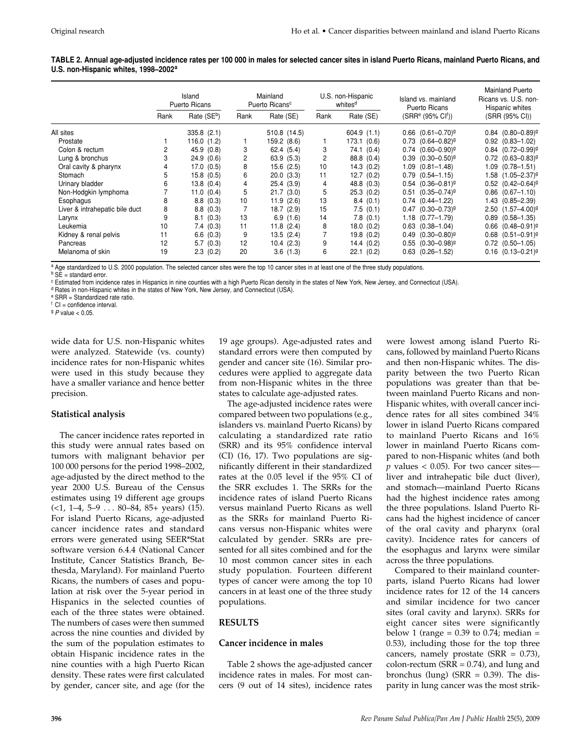**TABLE 2. Annual age-adjusted incidence rates per 100 000 in males for selected cancer sites in island Puerto Ricans, mainland Puerto Ricans, and U.S. non-Hispanic whites, 1998–2002<sup>a</sup>**

|                                | Island<br>Puerto Ricans |                         | Mainland<br>Puerto Ricans <sup>c</sup> |                | U.S. non-Hispanic<br>whites <sup>d</sup> |               | Island vs. mainland<br>Puerto Ricans | Mainland Puerto<br>Ricans vs. U.S. non-<br>Hispanic whites |  |
|--------------------------------|-------------------------|-------------------------|----------------------------------------|----------------|------------------------------------------|---------------|--------------------------------------|------------------------------------------------------------|--|
|                                | Rank                    | Rate (SE <sup>b</sup> ) | Rank                                   | Rate (SE)      | Rank                                     | Rate (SE)     | $(SRRe (95% Clf))$                   | (SRR (95% CI))                                             |  |
| All sites                      |                         | $335.8$ $(2.1)$         |                                        | 510.8 (14.5)   |                                          | 604.9(1.1)    | $0.66$ $(0.61 - 0.70)^9$             | $0.84$ $(0.80 - 0.89)^9$                                   |  |
| Prostate                       |                         | 116.0(1.2)              |                                        | 159.2 (8.6)    |                                          | 173.1 (0.6)   | $0.73$ $(0.64 - 0.82)^{9}$           | $0.92$ $(0.83 - 1.02)$                                     |  |
| Colon & rectum                 |                         | 45.9 (0.8)              | 3                                      | 62.4(5.4)      | 3                                        | 74.1<br>(0.4) | $0.74$ $(0.60 - 0.90)^{9}$           | $0.84$ $(0.72 - 0.99)^9$                                   |  |
| Lung & bronchus                | 3                       | 24.9(0.6)               | 2                                      | 63.9 (5.3)     | 2                                        | 88.8 (0.4)    | $0.39$ $(0.30 - 0.50)^{9}$           | $0.72$ $(0.63 - 0.83)^9$                                   |  |
| Oral cavity & pharynx          |                         | 17.0(0.5)               | 8                                      | $15.6$ $(2.5)$ | 10                                       | 14.3(0.2)     | $1.09$ $(0.81 - 1.48)$               | $1.09$ $(0.78 - 1.51)$                                     |  |
| Stomach                        |                         | 15.8(0.5)               | 6                                      | 20.0(3.3)      | 11                                       | 12.7(0.2)     | $0.79$ $(0.54 - 1.15)$               | 1.58 (1.05-2.37) <sup>g</sup>                              |  |
| Urinary bladder                | 6                       | 13.8(0.4)               | 4                                      | 25.4(3.9)      | 4                                        | 48.8 (0.3)    | $0.54$ $(0.36 - 0.81)^9$             | $0.52$ $(0.42 - 0.64)^{9}$                                 |  |
| Non-Hodgkin lymphoma           |                         | 11.0(0.4)               | 5                                      | 21.7(3.0)      | 5                                        | 25.3(0.2)     | $0.51$ $(0.35 - 0.74)^{9}$           | $0.86$ $(0.67 - 1.10)$                                     |  |
| Esophagus                      | 8                       | 8.8(0.3)                | 10                                     | 11.9(2.6)      | 13                                       | 8.4(0.1)      | $0.74$ $(0.44 - 1.22)$               | 1.43 (0.85-2.39)                                           |  |
| Liver & intrahepatic bile duct | 8                       | 8.8(0.3)                |                                        | 18.7(2.9)      | 15                                       | 7.5(0.1)      | $0.47$ $(0.30 - 0.73)^{9}$           | $2.50$ $(1.57 - 4.00)^{9}$                                 |  |
| Larynx                         | 9                       | 8.1(0.3)                | 13                                     | 6.9(1.6)       | 14                                       | 7.8(0.1)      | $1.18$ $(0.77-1.79)$                 | $0.89$ $(0.58 - 1.35)$                                     |  |
| Leukemia                       | 10                      | 7.4(0.3)                | 11                                     | 11.8(2.4)      | 8                                        | 18.0(0.2)     | $0.63$ $(0.38 - 1.04)$               | $0.66$ $(0.48 - 0.91)^9$                                   |  |
| Kidney & renal pelvis          | 11                      | 6.6(0.3)                | 9                                      | 13.5(2.4)      |                                          | 19.8(0.2)     | $0.49$ $(0.30 - 0.80)^{9}$           | $0.68$ $(0.51 - 0.91)^9$                                   |  |
| Pancreas                       | 12                      | 5.7(0.3)                | 12                                     | 10.4(2.3)      | 9                                        | 14.4(0.2)     | $0.55$ $(0.30 - 0.98)^{9}$           | $0.72$ $(0.50 - 1.05)$                                     |  |
| Melanoma of skin               | 19                      | 2.3(0.2)                | 20                                     | 3.6(1.3)       | 6                                        | 22.1<br>(0.2) | $0.63$ $(0.26 - 1.52)$               | $0.16$ $(0.13 - 0.21)^9$                                   |  |

a Age standardized to U.S. 2000 population. The selected cancer sites were the top 10 cancer sites in at least one of the three study populations.

 $b$  SE = standard error.

<sup>c</sup> Estimated from incidence rates in Hispanics in nine counties with a high Puerto Rican density in the states of New York, New Jersey, and Connecticut (USA).

<sup>d</sup> Rates in non-Hispanic whites in the states of New York, New Jersey, and Connecticut (USA).

<sup>e</sup> SRR = Standardized rate ratio.

 $<sup>f</sup>$  CI = confidence interval.</sup>

 $9$  P value  $< 0.05$ .

wide data for U.S. non-Hispanic whites were analyzed. Statewide (vs. county) incidence rates for non-Hispanic whites were used in this study because they have a smaller variance and hence better precision.

## **Statistical analysis**

The cancer incidence rates reported in this study were annual rates based on tumors with malignant behavior per 100 000 persons for the period 1998–2002, age-adjusted by the direct method to the year 2000 U.S. Bureau of the Census estimates using 19 different age groups  $(\le 1, 1-4, 5-9 \ldots 80-84, 85+ \text{ years})$  (15). For island Puerto Ricans, age-adjusted cancer incidence rates and standard errors were generated using SEER\*Stat software version 6.4.4 (National Cancer Institute, Cancer Statistics Branch, Bethesda, Maryland). For mainland Puerto Ricans, the numbers of cases and population at risk over the 5-year period in Hispanics in the selected counties of each of the three states were obtained. The numbers of cases were then summed across the nine counties and divided by the sum of the population estimates to obtain Hispanic incidence rates in the nine counties with a high Puerto Rican density. These rates were first calculated by gender, cancer site, and age (for the

19 age groups). Age-adjusted rates and standard errors were then computed by gender and cancer site (16). Similar procedures were applied to aggregate data from non-Hispanic whites in the three states to calculate age-adjusted rates.

The age-adjusted incidence rates were compared between two populations (e.g., islanders vs. mainland Puerto Ricans) by calculating a standardized rate ratio (SRR) and its 95% confidence interval (CI) (16, 17). Two populations are significantly different in their standardized rates at the 0.05 level if the 95% CI of the SRR excludes 1. The SRRs for the incidence rates of island Puerto Ricans versus mainland Puerto Ricans as well as the SRRs for mainland Puerto Ricans versus non-Hispanic whites were calculated by gender. SRRs are presented for all sites combined and for the 10 most common cancer sites in each study population. Fourteen different types of cancer were among the top 10 cancers in at least one of the three study populations.

## **RESULTS**

## **Cancer incidence in males**

Table 2 shows the age-adjusted cancer incidence rates in males. For most cancers (9 out of 14 sites), incidence rates were lowest among island Puerto Ricans, followed by mainland Puerto Ricans and then non-Hispanic whites. The disparity between the two Puerto Rican populations was greater than that between mainland Puerto Ricans and non-Hispanic whites, with overall cancer incidence rates for all sites combined 34% lower in island Puerto Ricans compared to mainland Puerto Ricans and 16% lower in mainland Puerto Ricans compared to non-Hispanic whites (and both  $p$  values  $<$  0.05). For two cancer sites liver and intrahepatic bile duct (liver), and stomach—mainland Puerto Ricans had the highest incidence rates among the three populations. Island Puerto Ricans had the highest incidence of cancer of the oral cavity and pharynx (oral cavity). Incidence rates for cancers of the esophagus and larynx were similar across the three populations.

Compared to their mainland counterparts, island Puerto Ricans had lower incidence rates for 12 of the 14 cancers and similar incidence for two cancer sites (oral cavity and larynx). SRRs for eight cancer sites were significantly below 1 (range =  $0.39$  to  $0.74$ ; median = 0.53), including those for the top three cancers, namely prostate  $(SRR = 0.73)$ , colon-rectum ( $SRR = 0.74$ ), and lung and bronchus (lung) ( $SRR = 0.39$ ). The disparity in lung cancer was the most strik-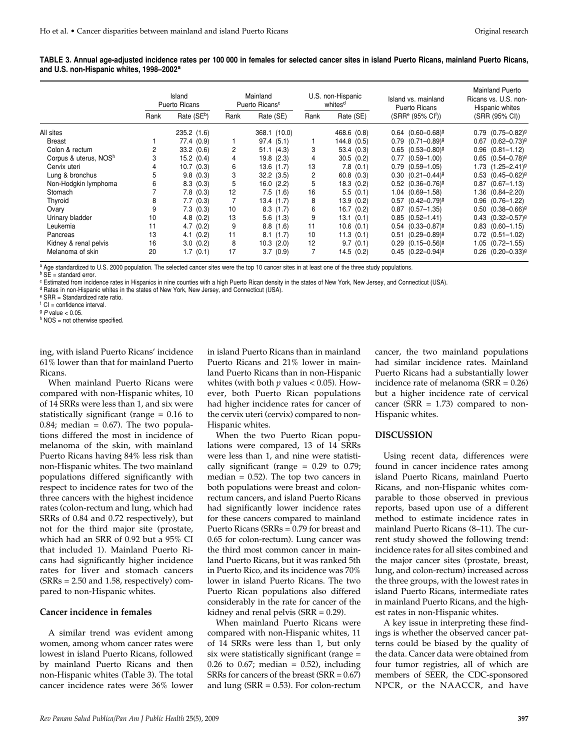| TABLE 3. Annual age-adjusted incidence rates per 100 000 in females for selected cancer sites in island Puerto Ricans, mainland Puerto Ricans, |  |  |  |
|------------------------------------------------------------------------------------------------------------------------------------------------|--|--|--|
| and U.S. non-Hispanic whites, 1998–2002 <sup>a</sup>                                                                                           |  |  |  |

|                       | Island<br>Puerto Ricans |                         | Mainland<br>Puerto Ricans <sup>c</sup> |              | U.S. non-Hispanic<br>whites <sup>d</sup> |             | Island vs. mainland<br>Puerto Ricans | Mainland Puerto<br>Ricans vs. U.S. non-<br>Hispanic whites |  |
|-----------------------|-------------------------|-------------------------|----------------------------------------|--------------|------------------------------------------|-------------|--------------------------------------|------------------------------------------------------------|--|
|                       | Rank                    | Rate (SE <sup>b</sup> ) | Rank                                   | Rate (SE)    | Rank                                     | Rate (SE)   | $(SRRe (95% Clf))$                   | (SRR (95% CI))                                             |  |
| All sites             |                         | 235.2(1.6)              |                                        | 368.1 (10.0) |                                          | 468.6 (0.8) | $0.64$ $(0.60 - 0.68)^9$             | $0.79$ $(0.75-0.82)^{9}$                                   |  |
| Breast                |                         | 77.4 (0.9)              |                                        | 97.4(5.1)    |                                          | 144.8 (0.5) | $0.79$ $(0.71 - 0.89)^9$             | $0.67$ $(0.62 - 0.73)^9$                                   |  |
| Colon & rectum        |                         | 33.2(0.6)               | 2                                      | 51.1(4.3)    | 3                                        | 53.4(0.3)   | $0.65$ $(0.53 - 0.80)^{9}$           | $0.96$ $(0.81 - 1.12)$                                     |  |
| Corpus & uterus, NOSh |                         | 15.2(0.4)               | 4                                      | 19.8(2.3)    | 4                                        | 30.5(0.2)   | $0.77$ $(0.59 - 1.00)$               | $0.65$ $(0.54 - 0.78)^9$                                   |  |
| Cervix uteri          |                         | 10.7(0.3)               | 6                                      | 13.6(1.7)    | 13                                       | 7.8(0.1)    | $0.79$ $(0.59 - 1.05)$               | $1.73$ $(1.25 - 2.41)^9$                                   |  |
| Lung & bronchus       |                         | 9.8(0.3)                | 3                                      | 32.2(3.5)    | 2                                        | 60.8(0.3)   | $0.30$ $(0.21 - 0.44)^{9}$           | $0.53$ $(0.45-0.62)^{9}$                                   |  |
| Non-Hodgkin lymphoma  | 6                       | 8.3(0.3)                | 5                                      | 16.0(2.2)    | 5                                        | 18.3(0.2)   | $0.52$ $(0.36 - 0.76)^{9}$           | $0.87$ $(0.67 - 1.13)$                                     |  |
| Stomach               |                         | 7.8(0.3)                | 12                                     | 7.5(1.6)     | 16                                       | 5.5(0.1)    | $1.04$ $(0.69 - 1.58)$               | 1.36 (0.84-2.20)                                           |  |
| Thyroid               | 8                       | 7.7(0.3)                |                                        | 13.4(1.7)    | 8                                        | 13.9(0.2)   | $0.57$ $(0.42 - 0.79)^9$             | $0.96$ $(0.76 - 1.22)$                                     |  |
| Ovary                 |                         | 7.3(0.3)                | 10                                     | 8.3(1.7)     | 6                                        | 16.7(0.2)   | $0.87$ $(0.57 - 1.35)$               | $0.50$ $(0.38 - 0.66)^{9}$                                 |  |
| Urinary bladder       | 10                      | 4.8(0.2)                | 13                                     | 5.6(1.3)     | 9                                        | 13.1(0.1)   | $0.85$ $(0.52 - 1.41)$               | $0.43$ $(0.32 - 0.57)^9$                                   |  |
| Leukemia              | 11                      | 4.7(0.2)                | 9                                      | 8.8(1.6)     | 11                                       | 10.6(0.1)   | $0.54$ $(0.33 - 0.87)^9$             | $0.83$ $(0.60 - 1.15)$                                     |  |
| Pancreas              | 13                      | 4.1(0.2)                | 11                                     | 8.1(1.7)     | 10                                       | 11.3(0.1)   | $0.51$ $(0.29 - 0.89)^9$             | $0.72$ $(0.51 - 1.02)$                                     |  |
| Kidney & renal pelvis | 16                      | 3.0(0.2)                | 8                                      | 10.3(2.0)    | 12                                       | 9.7(0.1)    | $0.29$ $(0.15-0.56)^{9}$             | $1.05$ $(0.72 - 1.55)$                                     |  |
| Melanoma of skin      | 20                      | 1.7(0.1)                | 17                                     | 3.7(0.9)     |                                          | 14.5(0.2)   | $0.45$ $(0.22 - 0.94)^{9}$           | $0.26$ $(0.20 - 0.33)^{9}$                                 |  |

a Age standardized to U.S. 2000 population. The selected cancer sites were the top 10 cancer sites in at least one of the three study populations.

 $b$  SE = standard error.

<sup>c</sup> Estimated from incidence rates in Hispanics in nine counties with a high Puerto Rican density in the states of New York, New Jersey, and Connecticut (USA).

<sup>d</sup> Rates in non-Hispanic whites in the states of New York, New Jersey, and Connecticut (USA).

<sup>e</sup> SRR = Standardized rate ratio.

 $<sup>f</sup>$  CI = confidence interval.</sup>

 $9$  P value  $< 0.05$ .

 $h$  NOS = not otherwise specified.

ing, with island Puerto Ricans' incidence 61% lower than that for mainland Puerto Ricans.

When mainland Puerto Ricans were compared with non-Hispanic whites, 10 of 14 SRRs were less than 1, and six were statistically significant (range = 0.16 to 0.84; median =  $0.67$ ). The two populations differed the most in incidence of melanoma of the skin, with mainland Puerto Ricans having 84% less risk than non-Hispanic whites. The two mainland populations differed significantly with respect to incidence rates for two of the three cancers with the highest incidence rates (colon-rectum and lung, which had SRRs of 0.84 and 0.72 respectively), but not for the third major site (prostate, which had an SRR of 0.92 but a 95% CI that included 1). Mainland Puerto Ricans had significantly higher incidence rates for liver and stomach cancers  $(SRRs = 2.50$  and 1.58, respectively) compared to non-Hispanic whites.

#### **Cancer incidence in females**

A similar trend was evident among women, among whom cancer rates were lowest in island Puerto Ricans, followed by mainland Puerto Ricans and then non-Hispanic whites (Table 3). The total cancer incidence rates were 36% lower

in island Puerto Ricans than in mainland Puerto Ricans and 21% lower in mainland Puerto Ricans than in non-Hispanic whites (with both  $p$  values < 0.05). However, both Puerto Rican populations had higher incidence rates for cancer of the cervix uteri (cervix) compared to non-Hispanic whites.

When the two Puerto Rican populations were compared, 13 of 14 SRRs were less than 1, and nine were statistically significant (range  $= 0.29$  to 0.79; median  $= 0.52$ ). The top two cancers in both populations were breast and colonrectum cancers, and island Puerto Ricans had significantly lower incidence rates for these cancers compared to mainland Puerto Ricans (SRRs = 0.79 for breast and 0.65 for colon-rectum). Lung cancer was the third most common cancer in mainland Puerto Ricans, but it was ranked 5th in Puerto Rico, and its incidence was 70% lower in island Puerto Ricans. The two Puerto Rican populations also differed considerably in the rate for cancer of the kidney and renal pelvis  $(SRR = 0.29)$ .

When mainland Puerto Ricans were compared with non-Hispanic whites, 11 of 14 SRRs were less than 1, but only six were statistically significant (range = 0.26 to 0.67; median = 0.52), including SRRs for cancers of the breast (SRR = 0.67) and lung ( $SRR = 0.53$ ). For colon-rectum cancer, the two mainland populations had similar incidence rates. Mainland Puerto Ricans had a substantially lower incidence rate of melanoma  $(SRR = 0.26)$ but a higher incidence rate of cervical cancer ( $SRR = 1.73$ ) compared to non-Hispanic whites.

## **DISCUSSION**

Using recent data, differences were found in cancer incidence rates among island Puerto Ricans, mainland Puerto Ricans, and non-Hispanic whites comparable to those observed in previous reports, based upon use of a different method to estimate incidence rates in mainland Puerto Ricans (8–11). The current study showed the following trend: incidence rates for all sites combined and the major cancer sites (prostate, breast, lung, and colon-rectum) increased across the three groups, with the lowest rates in island Puerto Ricans, intermediate rates in mainland Puerto Ricans, and the highest rates in non-Hispanic whites.

A key issue in interpreting these findings is whether the observed cancer patterns could be biased by the quality of the data. Cancer data were obtained from four tumor registries, all of which are members of SEER, the CDC-sponsored NPCR, or the NAACCR, and have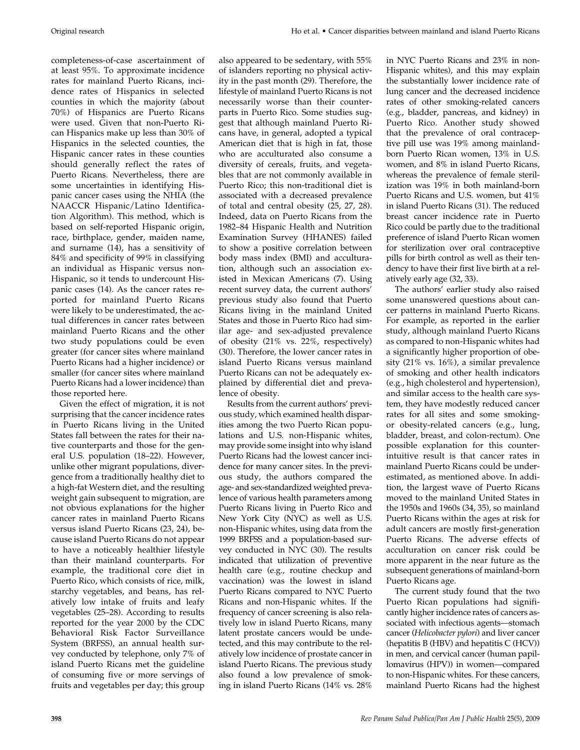completeness-of-case ascertainment of at least 95%. To approximate incidence rates for mainland Puerto Ricans, incidence rates of Hispanics in selected counties in which the majority (about 70%) of Hispanics are Puerto Ricans were used. Given that non-Puerto Rican Hispanics make up less than 30% of Hispanics in the selected counties, the Hispanic cancer rates in these counties should generally reflect the rates of Puerto Ricans. Nevertheless, there are some uncertainties in identifying Hispanic cancer cases using the NHIA (the NAACCR Hispanic/Latino Identification Algorithm). This method, which is based on self-reported Hispanic origin, race, birthplace, gender, maiden name, and surname (14), has a sensitivity of 84% and specificity of 99% in classifying an individual as Hispanic versus non-Hispanic, so it tends to undercount Hispanic cases (14). As the cancer rates reported for mainland Puerto Ricans were likely to be underestimated, the actual differences in cancer rates between mainland Puerto Ricans and the other two study populations could be even greater (for cancer sites where mainland Puerto Ricans had a higher incidence) or smaller (for cancer sites where mainland Puerto Ricans had a lower incidence) than those reported here.

Given the effect of migration, it is not surprising that the cancer incidence rates in Puerto Ricans living in the United States fall between the rates for their native counterparts and those for the general U.S. population (18–22). However, unlike other migrant populations, divergence from a traditionally healthy diet to a high-fat Western diet, and the resulting weight gain subsequent to migration, are not obvious explanations for the higher cancer rates in mainland Puerto Ricans versus island Puerto Ricans (23, 24), because island Puerto Ricans do not appear to have a noticeably healthier lifestyle than their mainland counterparts. For example, the traditional core diet in Puerto Rico, which consists of rice, milk, starchy vegetables, and beans, has relatively low intake of fruits and leafy vegetables (25–28). According to results reported for the year 2000 by the CDC Behavioral Risk Factor Surveillance System (BRFSS), an annual health survey conducted by telephone, only 7% of island Puerto Ricans met the guideline of consuming five or more servings of fruits and vegetables per day; this group

also appeared to be sedentary, with 55% of islanders reporting no physical activity in the past month (29). Therefore, the lifestyle of mainland Puerto Ricans is not necessarily worse than their counterparts in Puerto Rico. Some studies suggest that although mainland Puerto Ricans have, in general, adopted a typical American diet that is high in fat, those who are acculturated also consume a diversity of cereals, fruits, and vegetables that are not commonly available in Puerto Rico; this non-traditional diet is associated with a decreased prevalence of total and central obesity (25, 27, 28). Indeed, data on Puerto Ricans from the 1982–84 Hispanic Health and Nutrition Examination Survey (HHANES) failed to show a positive correlation between body mass index (BMI) and acculturation, although such an association existed in Mexican Americans (7). Using recent survey data, the current authors' previous study also found that Puerto Ricans living in the mainland United States and those in Puerto Rico had similar age- and sex-adjusted prevalence of obesity (21% vs. 22%, respectively) (30). Therefore, the lower cancer rates in island Puerto Ricans versus mainland Puerto Ricans can not be adequately explained by differential diet and prevalence of obesity.

Results from the current authors' previous study, which examined health disparities among the two Puerto Rican populations and U.S. non-Hispanic whites, may provide some insight into why island Puerto Ricans had the lowest cancer incidence for many cancer sites. In the previous study, the authors compared the age- and sex-standardized weighted prevalence of various health parameters among Puerto Ricans living in Puerto Rico and New York City (NYC) as well as U.S. non-Hispanic whites, using data from the 1999 BRFSS and a population-based survey conducted in NYC (30). The results indicated that utilization of preventive health care (e.g., routine checkup and vaccination) was the lowest in island Puerto Ricans compared to NYC Puerto Ricans and non-Hispanic whites. If the frequency of cancer screening is also relatively low in island Puerto Ricans, many latent prostate cancers would be undetected, and this may contribute to the relatively low incidence of prostate cancer in island Puerto Ricans. The previous study also found a low prevalence of smoking in island Puerto Ricans (14% vs. 28%

in NYC Puerto Ricans and 23% in non-Hispanic whites), and this may explain the substantially lower incidence rate of lung cancer and the decreased incidence rates of other smoking-related cancers (e.g., bladder, pancreas, and kidney) in Puerto Rico. Another study showed that the prevalence of oral contraceptive pill use was 19% among mainlandborn Puerto Rican women, 13% in U.S. women, and 8% in island Puerto Ricans, whereas the prevalence of female sterilization was 19% in both mainland-born Puerto Ricans and U.S. women, but 41% in island Puerto Ricans (31). The reduced breast cancer incidence rate in Puerto Rico could be partly due to the traditional preference of island Puerto Rican women for sterilization over oral contraceptive pills for birth control as well as their tendency to have their first live birth at a relatively early age (32, 33).

The authors' earlier study also raised some unanswered questions about cancer patterns in mainland Puerto Ricans. For example, as reported in the earlier study, although mainland Puerto Ricans as compared to non-Hispanic whites had a significantly higher proportion of obesity (21% vs. 16%), a similar prevalence of smoking and other health indicators (e.g., high cholesterol and hypertension), and similar access to the health care system, they have modestly reduced cancer rates for all sites and some smokingor obesity-related cancers (e.g., lung, bladder, breast, and colon-rectum). One possible explanation for this counterintuitive result is that cancer rates in mainland Puerto Ricans could be underestimated, as mentioned above. In addition, the largest wave of Puerto Ricans moved to the mainland United States in the 1950s and 1960s (34, 35), so mainland Puerto Ricans within the ages at risk for adult cancers are mostly first-generation Puerto Ricans. The adverse effects of acculturation on cancer risk could be more apparent in the near future as the subsequent generations of mainland-born Puerto Ricans age.

The current study found that the two Puerto Rican populations had significantly higher incidence rates of cancers associated with infectious agents—stomach cancer (*Helicobacter pylori*) and liver cancer (hepatitis B (HBV) and hepatitis C (HCV)) in men, and cervical cancer (human papillomavirus (HPV)) in women—compared to non-Hispanic whites. For these cancers, mainland Puerto Ricans had the highest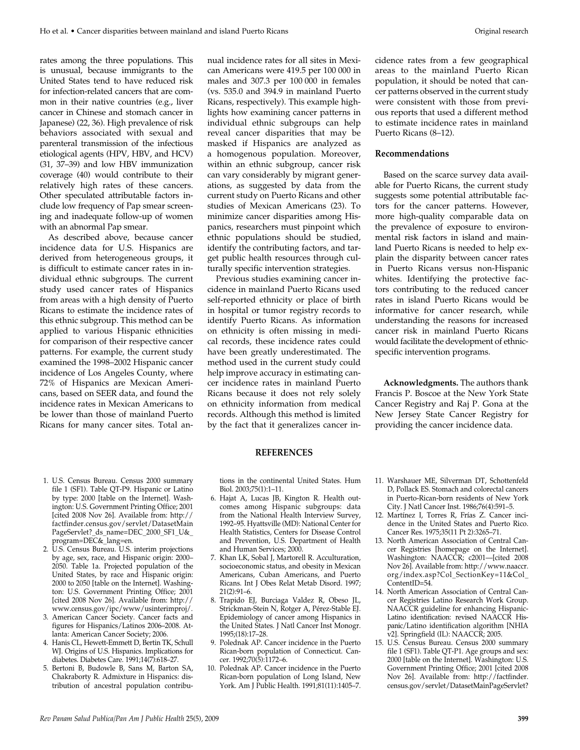rates among the three populations. This is unusual, because immigrants to the United States tend to have reduced risk for infection-related cancers that are common in their native countries (e.g., liver cancer in Chinese and stomach cancer in Japanese) (22, 36). High prevalence of risk behaviors associated with sexual and parenteral transmission of the infectious etiological agents (HPV, HBV, and HCV) (31, 37–39) and low HBV immunization coverage (40) would contribute to their relatively high rates of these cancers. Other speculated attributable factors include low frequency of Pap smear screening and inadequate follow-up of women with an abnormal Pap smear.

As described above, because cancer incidence data for U.S. Hispanics are derived from heterogeneous groups, it is difficult to estimate cancer rates in individual ethnic subgroups. The current study used cancer rates of Hispanics from areas with a high density of Puerto Ricans to estimate the incidence rates of this ethnic subgroup. This method can be applied to various Hispanic ethnicities for comparison of their respective cancer patterns. For example, the current study examined the 1998–2002 Hispanic cancer incidence of Los Angeles County, where 72% of Hispanics are Mexican Americans, based on SEER data, and found the incidence rates in Mexican Americans to be lower than those of mainland Puerto Ricans for many cancer sites. Total annual incidence rates for all sites in Mexican Americans were 419.5 per 100 000 in males and 307.3 per 100 000 in females (vs. 535.0 and 394.9 in mainland Puerto Ricans, respectively). This example highlights how examining cancer patterns in individual ethnic subgroups can help reveal cancer disparities that may be masked if Hispanics are analyzed as a homogenous population. Moreover, within an ethnic subgroup, cancer risk can vary considerably by migrant generations, as suggested by data from the current study on Puerto Ricans and other studies of Mexican Americans (23). To minimize cancer disparities among Hispanics, researchers must pinpoint which ethnic populations should be studied, identify the contributing factors, and target public health resources through culturally specific intervention strategies.

Previous studies examining cancer incidence in mainland Puerto Ricans used self-reported ethnicity or place of birth in hospital or tumor registry records to identify Puerto Ricans. As information on ethnicity is often missing in medical records, these incidence rates could have been greatly underestimated. The method used in the current study could help improve accuracy in estimating cancer incidence rates in mainland Puerto Ricans because it does not rely solely on ethnicity information from medical records. Although this method is limited by the fact that it generalizes cancer incidence rates from a few geographical areas to the mainland Puerto Rican population, it should be noted that cancer patterns observed in the current study were consistent with those from previous reports that used a different method to estimate incidence rates in mainland Puerto Ricans (8–12).

#### **Recommendations**

Based on the scarce survey data available for Puerto Ricans, the current study suggests some potential attributable factors for the cancer patterns. However, more high-quality comparable data on the prevalence of exposure to environmental risk factors in island and mainland Puerto Ricans is needed to help explain the disparity between cancer rates in Puerto Ricans versus non-Hispanic whites. Identifying the protective factors contributing to the reduced cancer rates in island Puerto Ricans would be informative for cancer research, while understanding the reasons for increased cancer risk in mainland Puerto Ricans would facilitate the development of ethnicspecific intervention programs.

**Acknowledgments.** The authors thank Francis P. Boscoe at the New York State Cancer Registry and Raj P. Gona at the New Jersey State Cancer Registry for providing the cancer incidence data.

- 1. U.S. Census Bureau. Census 2000 summary file 1 (SF1). Table QT-P9. Hispanic or Latino by type: 2000 [table on the Internet]. Washington: U.S. Government Printing Office; 2001 [cited 2008 Nov 26]. Available from: http:// factfinder.census.gov/servlet/DatasetMain PageServlet?\_ds\_name=DEC\_2000\_SF1\_U&\_ program=DEC&\_lang=en.
- 2. U.S. Census Bureau. U.S. interim projections by age, sex, race, and Hispanic origin: 2000– 2050. Table 1a. Projected population of the United States, by race and Hispanic origin: 2000 to 2050 [table on the Internet]. Washington: U.S. Government Printing Office; 2001 [cited 2008 Nov 26]. Available from: http:// www.census.gov/ipc/www/usinterimproj/.
- 3. American Cancer Society. Cancer facts and figures for Hispanics/Latinos 2006–2008. Atlanta: American Cancer Society; 2006.
- 4. Hanis CL, Hewett-Emmett D, Bertin TK, Schull WJ. Origins of U.S. Hispanics. Implications for diabetes. Diabetes Care. 1991;14(7):618–27.
- 5. Bertoni B, Budowle B, Sans M, Barton SA, Chakraborty R. Admixture in Hispanics: distribution of ancestral population contribu-

tions in the continental United States. Hum Biol. 2003;75(1):1–11.

**REFERENCES**

- 6. Hajat A, Lucas JB, Kington R. Health outcomes among Hispanic subgroups: data from the National Health Interview Survey, 1992–95. Hyattsville (MD): National Center for Health Statistics, Centers for Disease Control and Prevention, U.S. Department of Health and Human Services; 2000.
- 7. Khan LK, Sobal J, Martorell R. Acculturation, socioeconomic status, and obesity in Mexican Americans, Cuban Americans, and Puerto Ricans. Int J Obes Relat Metab Disord. 1997; 21(2):91–6.
- 8. Trapido EJ, Burciaga Valdez R, Obeso JL, Strickman-Stein N, Rotger A, Pérez-Stable EJ. Epidemiology of cancer among Hispanics in the United States. J Natl Cancer Inst Monogr. 1995;(18):17–28.
- 9. Polednak AP. Cancer incidence in the Puerto Rican-born population of Connecticut. Cancer. 1992;70(5):1172–6.
- 10. Polednak AP. Cancer incidence in the Puerto Rican-born population of Long Island, New York. Am J Public Health. 1991;81(11):1405–7.
- 11. Warshauer ME, Silverman DT, Schottenfeld D, Pollack ES. Stomach and colorectal cancers in Puerto-Rican-born residents of New York City. J Natl Cancer Inst. 1986;76(4):591–5.
- 12. Martínez I, Torres R, Frías Z. Cancer incidence in the United States and Puerto Rico. Cancer Res. 1975;35(11 Pt 2):3265–71.
- 13. North American Association of Central Cancer Registries [homepage on the Internet]. Washington: NAACCR; c2001—[cited 2008 Nov 26]. Available from: http://www.naaccr. org/index.asp?Col\_SectionKey=11&Col\_ ContentID=54.
- 14. North American Association of Central Cancer Registries Latino Research Work Group. NAACCR guideline for enhancing Hispanic-Latino identification: revised NAACCR Hispanic/Latino identification algorithm [NHIA v2]. Springfield (IL): NAACCR; 2005.
- 15. U.S. Census Bureau. Census 2000 summary file 1 (SF1). Table QT-P1. Age groups and sex: 2000 [table on the Internet]. Washington: U.S. Government Printing Office; 2001 [cited 2008 Nov 26]. Available from: http://factfinder. census.gov/servlet/DatasetMainPageServlet?